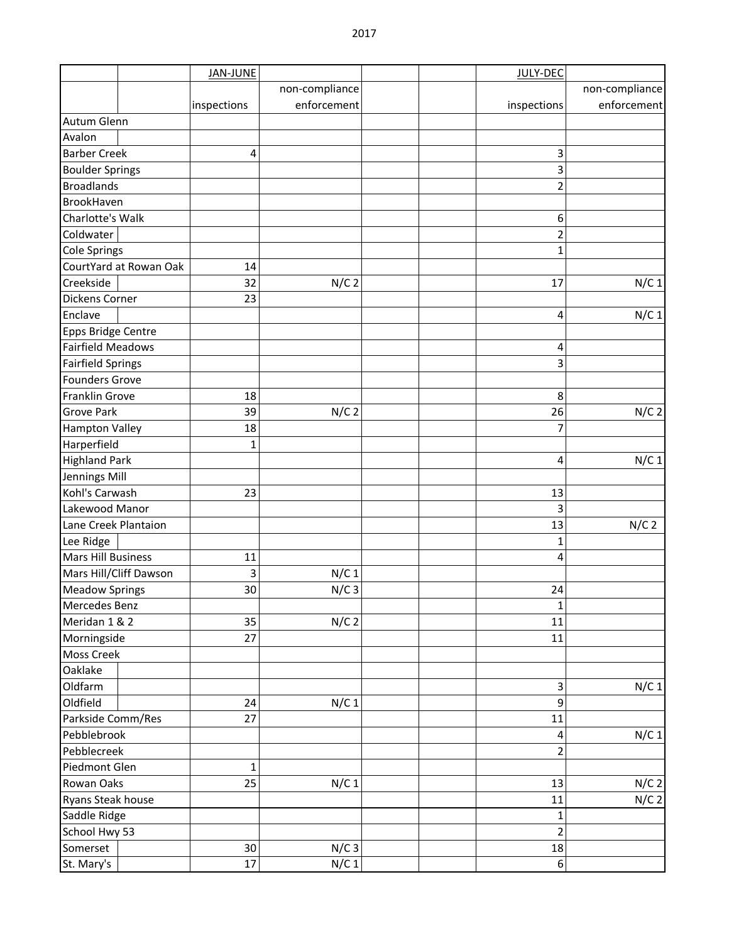|                                        |                        | <b>JAN-JUNE</b> |                  | JULY-DEC                |                |
|----------------------------------------|------------------------|-----------------|------------------|-------------------------|----------------|
|                                        |                        |                 | non-compliance   |                         | non-compliance |
|                                        |                        | inspections     | enforcement      | inspections             | enforcement    |
| Autum Glenn                            |                        |                 |                  |                         |                |
| Avalon                                 |                        |                 |                  |                         |                |
| <b>Barber Creek</b>                    |                        | 4               |                  | 3                       |                |
| <b>Boulder Springs</b>                 |                        |                 |                  | 3                       |                |
| <b>Broadlands</b>                      |                        |                 |                  | $\overline{2}$          |                |
| BrookHaven                             |                        |                 |                  |                         |                |
| Charlotte's Walk                       |                        |                 |                  | 6                       |                |
| Coldwater                              |                        |                 |                  | $\overline{2}$          |                |
| <b>Cole Springs</b>                    |                        |                 |                  | $\mathbf{1}$            |                |
|                                        | CourtYard at Rowan Oak | 14              |                  |                         |                |
| Creekside                              |                        | 32              | $N/C$ 2          | 17                      | $N/C$ 1        |
| Dickens Corner                         |                        | 23              |                  |                         |                |
| Enclave                                |                        |                 |                  | 4                       | $N/C$ 1        |
| Epps Bridge Centre                     |                        |                 |                  |                         |                |
| <b>Fairfield Meadows</b>               |                        |                 |                  | 4                       |                |
| <b>Fairfield Springs</b>               |                        |                 |                  | 3                       |                |
| <b>Founders Grove</b>                  |                        |                 |                  |                         |                |
| Franklin Grove                         |                        | 18              |                  | 8                       |                |
| <b>Grove Park</b>                      |                        | 39              | $N/C$ 2          | 26                      | $N/C$ 2        |
|                                        |                        | 18              |                  | 7                       |                |
| <b>Hampton Valley</b><br>Harperfield   |                        | 1               |                  |                         |                |
| <b>Highland Park</b>                   |                        |                 |                  | 4                       | $N/C$ 1        |
| Jennings Mill                          |                        |                 |                  |                         |                |
|                                        |                        | 23              |                  | 13                      |                |
| Kohl's Carwash<br>Lakewood Manor       |                        |                 |                  | 3                       |                |
|                                        |                        |                 |                  | 13                      | $N/C$ 2        |
| Lane Creek Plantaion                   |                        |                 |                  |                         |                |
| Lee Ridge<br><b>Mars Hill Business</b> |                        | 11              |                  | 1<br>4                  |                |
|                                        |                        |                 |                  |                         |                |
| Mars Hill/Cliff Dawson                 |                        | 3<br>30         | N/C <sub>1</sub> |                         |                |
|                                        | <b>Meadow Springs</b>  |                 | $N/C$ 3          | 24                      |                |
| Mercedes Benz                          |                        |                 |                  | $\mathbf 1$             |                |
| Meridan 1 & 2                          |                        | 35              | $N/C$ 2          | 11                      |                |
| Morningside                            |                        | 27              |                  | 11                      |                |
| Moss Creek                             |                        |                 |                  |                         |                |
| Oaklake                                |                        |                 |                  |                         |                |
| Oldfarm                                |                        |                 |                  | 3                       | N/C 1          |
| Oldfield                               |                        | 24              | N/C <sub>1</sub> | 9                       |                |
| Parkside Comm/Res                      |                        | 27              |                  | 11                      |                |
| Pebblebrook                            |                        |                 |                  | 4                       | $N/C$ 1        |
| Pebblecreek                            |                        |                 |                  | $\overline{2}$          |                |
| Piedmont Glen                          |                        | $\mathbf{1}$    |                  |                         |                |
| Rowan Oaks                             |                        | 25              | N/C <sub>1</sub> | 13                      | $N/C$ 2        |
| Ryans Steak house                      |                        |                 |                  | 11                      | $N/C$ 2        |
| Saddle Ridge                           |                        |                 |                  | 1                       |                |
| School Hwy 53                          |                        |                 |                  | $\overline{\mathbf{c}}$ |                |
| Somerset                               |                        | 30              | $N/C$ 3          | 18                      |                |
| St. Mary's                             |                        | 17              | N/C <sub>1</sub> | $\,$ 6 $\,$             |                |